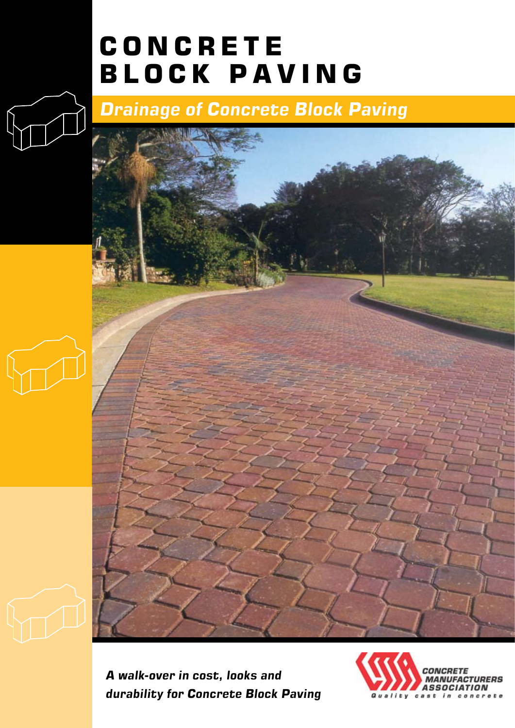# **CONCRETE BLOCK PAVING**

# *Drainage of Concrete Block Paving*



*A walk-over in cost, looks and durability for Concrete Block Paving*

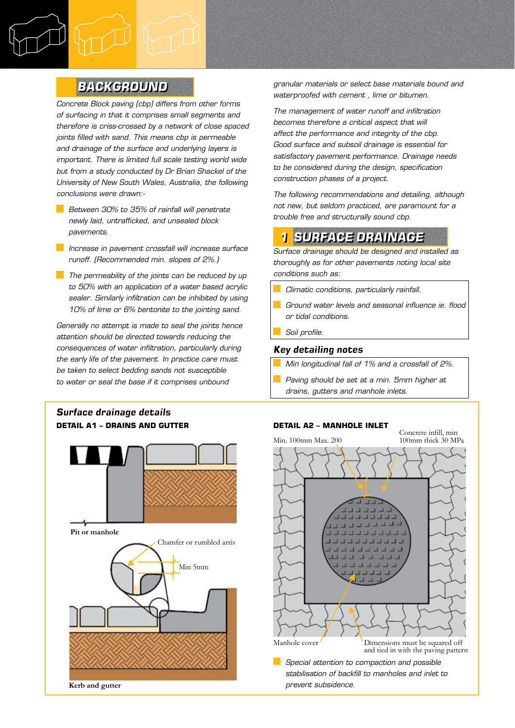## *Background*

*Concrete Block paving (cbp) differs from other forms of surfacing in that it comprises small segments and therefore is criss-crossed by a network of close spaced joints filled with sand. This means cbp is permeable and drainage of the surface and underlying layers is important. There is limited full scale testing world wide but from a study conducted by Dr Brian Shackel of the University of New South Wales, Australia, the following conclusions were drawn:-*

- *Between 30% to 35% of rainfall will penetrate newly laid, untrafficked, and unsealed block pavements.*
- *Increase in pavement crossfall will increase surface runoff. (Recommended min. slopes of 2%.)*
- **The permeability of the joints can be reduced by up** *to 50% with an application of a water based acrylic sealer. Similarly infiltration can be inhibited by using 10% of lime or 6% bentonite to the jointing sand.*

*Generally no attempt is made to seal the joints hence attention should be directed towards reducing the consequences of water infiltration, particularly during the early life of the pavement. In practice care must be taken to select bedding sands not susceptible to water or seal the base if it comprises unbound* 

### *Surface drainage details* **Detail A1 – drains and gutter**



*granular materials or select base materials bound and waterproofed with cement , lime or bitumen.*

*The management of water runoff and infiltration becomes therefore a critical aspect that will affect the performance and integrity of the cbp. Good surface and subsoil drainage is essential for satisfactory pavement performance. Drainage needs to be considered during the design, specification construction phases of a project.*

*The following recommendations and detailing, although not new, but seldom practiced, are paramount for a trouble free and structurally sound cbp.*

## *1 Surface drainage*

*Surface drainage should be designed and installed as thoroughly as for other pavements noting local site conditions such as:*

- *Climatic conditions, particularly rainfall.*
- *Ground water levels and seasonal influence ie. flood or tidal conditions.*
- *Soil profile.*

#### *Key detailing notes*

- *Min longitudinal fall of 1% and a crossfall of 2%.*
- *Paving should be set at a min. 5mm higher at drains, gutters and manhole inlets.*

#### **Detail A2 – manhole inlet**

Min. 100mm Max. 200

Concrete infill, min 100mm thick 30 MPa



*stabilisation of backfill to manholes and inlet to prevent subsidence.*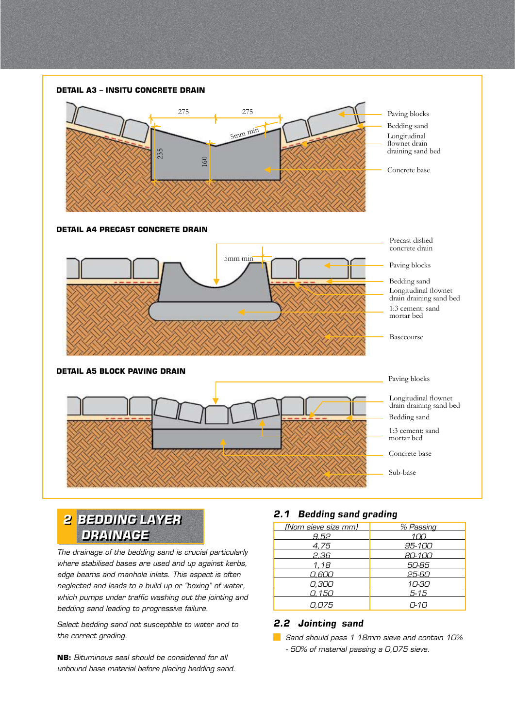

*2 bedding layer drainage*

*The drainage of the bedding sand is crucial particularly where stabilised bases are used and up against kerbs, edge beams and manhole inlets. This aspect is often neglected and leads to a build up or "boxing" of water, which pumps under traffic washing out the jointing and bedding sand leading to progressive failure.*

*Select bedding sand not susceptible to water and to the correct grading.*

**NB:** *Bituminous seal should be considered for all unbound base material before placing bedding sand.* 

#### *2.1 Bedding sand grading*

| (Nom sieve size mm) | % Passing |
|---------------------|-----------|
| 9.52                | 100       |
| 4.75                | 95-100    |
| 2.36                | 80-100    |
| 1.18                | 50-85     |
| 0.600               | 25-60     |
| 0.300               | 10-30     |
| 0.150               | $5 - 15$  |
| 0,075               | $0 - 10$  |

#### *2.2 Jointing sand*

*Sand should pass 1 18mm sieve and contain 10% - 50% of material passing a 0,075 sieve.*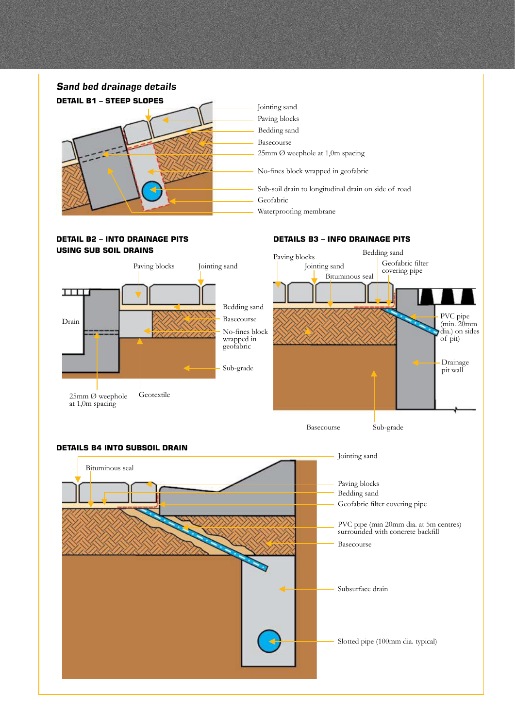### Jointing sand Paving blocks Bedding sand Basecourse 25mm Ø weephole at 1,0m spacing No-fines block wrapped in geofabric Sub-soil drain to longitudinal drain on side of road Geofabric Waterproofing membrane *Sand bed drainage details* **Detail B1 – steep slopes**

#### **Detail B2 – into drainage pits using sub soil drains**

#### **Details B3 – info drainage pits**



Basecourse

Sub-grade



#### **Details B4 into subsoil drain**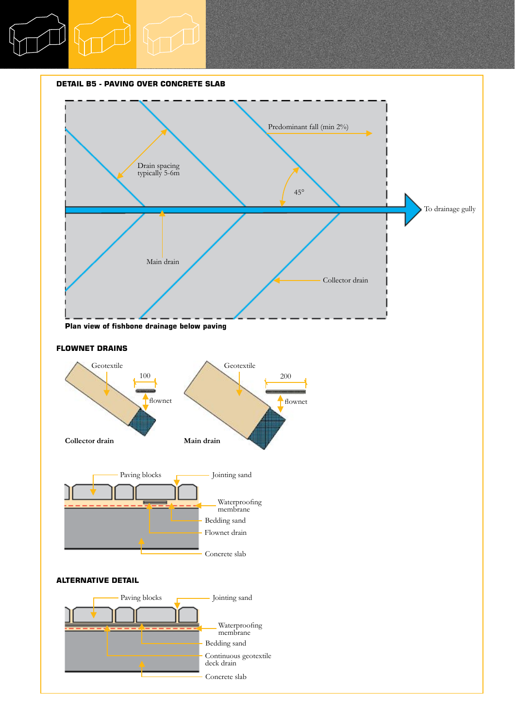#### **Detail B5 - Paving over concrete slab**



#### **Flownet drains**